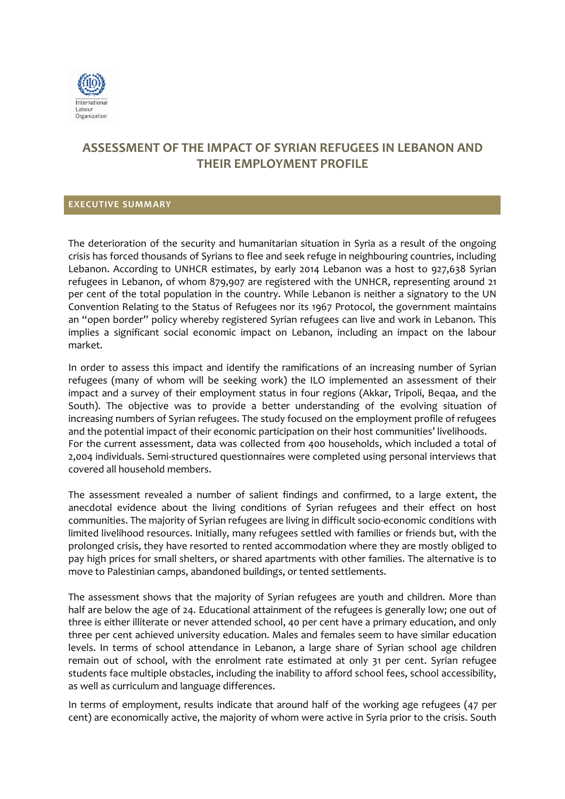

## **ASSESSMENT OF THE IMPACT OF SYRIAN REFUGEES IN LEBANON AND THEIR EMPLOYMENT PROFILE**

## **EXECUTIVE SUMMARY**

The deterioration of the security and humanitarian situation in Syria as a result of the ongoing crisis has forced thousands of Syrians to flee and seek refuge in neighbouring countries, including Lebanon. According to UNHCR estimates, by early 2014 Lebanon was a host to 927,638 Syrian refugees in Lebanon, of whom 879,907 are registered with the UNHCR, representing around 21 per cent of the total population in the country. While Lebanon is neither a signatory to the UN Convention Relating to the Status of Refugees nor its 1967 Protocol, the government maintains an "open border" policy whereby registered Syrian refugees can live and work in Lebanon. This implies a significant social economic impact on Lebanon, including an impact on the labour market.

In order to assess this impact and identify the ramifications of an increasing number of Syrian refugees (many of whom will be seeking work) the ILO implemented an assessment of their impact and a survey of their employment status in four regions (Akkar, Tripoli, Beqaa, and the South). The objective was to provide a better understanding of the evolving situation of increasing numbers of Syrian refugees. The study focused on the employment profile of refugees and the potential impact of their economic participation on their host communities' livelihoods. For the current assessment, data was collected from 400 households, which included a total of 2,004 individuals. Semi-structured questionnaires were completed using personal interviews that covered all household members.

The assessment revealed a number of salient findings and confirmed, to a large extent, the anecdotal evidence about the living conditions of Syrian refugees and their effect on host communities. The majority of Syrian refugees are living in difficult socio-economic conditions with limited livelihood resources. Initially, many refugees settled with families or friends but, with the prolonged crisis, they have resorted to rented accommodation where they are mostly obliged to pay high prices for small shelters, or shared apartments with other families. The alternative is to move to Palestinian camps, abandoned buildings, or tented settlements.

The assessment shows that the majority of Syrian refugees are youth and children. More than half are below the age of 24. Educational attainment of the refugees is generally low; one out of three is either illiterate or never attended school, 40 per cent have a primary education, and only three per cent achieved university education. Males and females seem to have similar education levels. In terms of school attendance in Lebanon, a large share of Syrian school age children remain out of school, with the enrolment rate estimated at only 31 per cent. Syrian refugee students face multiple obstacles, including the inability to afford school fees, school accessibility, as well as curriculum and language differences.

In terms of employment, results indicate that around half of the working age refugees (47 per cent) are economically active, the majority of whom were active in Syria prior to the crisis. South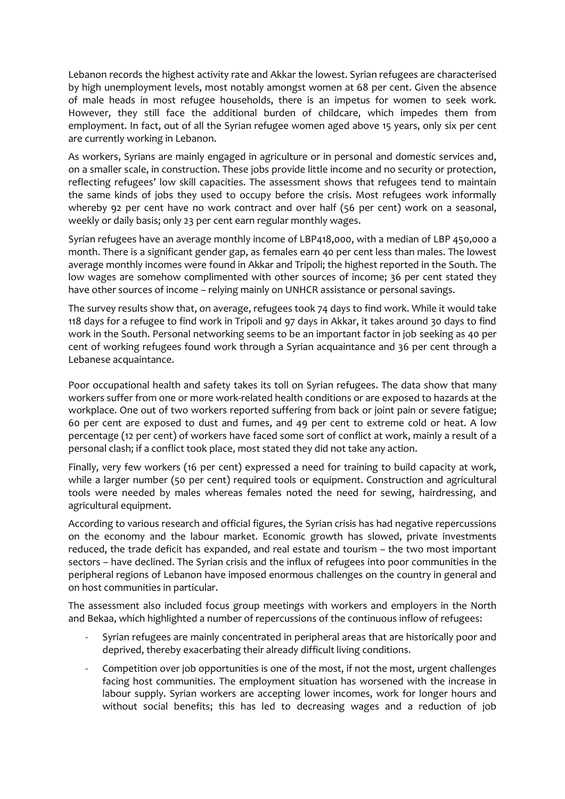Lebanon records the highest activity rate and Akkar the lowest. Syrian refugees are characterised by high unemployment levels, most notably amongst women at 68 per cent. Given the absence of male heads in most refugee households, there is an impetus for women to seek work. However, they still face the additional burden of childcare, which impedes them from employment. In fact, out of all the Syrian refugee women aged above 15 years, only six per cent are currently working in Lebanon.

As workers, Syrians are mainly engaged in agriculture or in personal and domestic services and, on a smaller scale, in construction. These jobs provide little income and no security or protection, reflecting refugees' low skill capacities. The assessment shows that refugees tend to maintain the same kinds of jobs they used to occupy before the crisis. Most refugees work informally whereby 92 per cent have no work contract and over half (56 per cent) work on a seasonal, weekly or daily basis; only 23 per cent earn regular monthly wages.

Syrian refugees have an average monthly income of LBP418,000, with a median of LBP 450,000 a month. There is a significant gender gap, as females earn 40 per cent less than males. The lowest average monthly incomes were found in Akkar and Tripoli; the highest reported in the South. The low wages are somehow complimented with other sources of income; 36 per cent stated they have other sources of income – relying mainly on UNHCR assistance or personal savings.

The survey results show that, on average, refugees took 74 days to find work. While it would take 118 days for a refugee to find work in Tripoli and 97 days in Akkar, it takes around 30 days to find work in the South. Personal networking seems to be an important factor in job seeking as 40 per cent of working refugees found work through a Syrian acquaintance and 36 per cent through a Lebanese acquaintance.

Poor occupational health and safety takes its toll on Syrian refugees. The data show that many workers suffer from one or more work-related health conditions or are exposed to hazards at the workplace. One out of two workers reported suffering from back or joint pain or severe fatigue; 60 per cent are exposed to dust and fumes, and 49 per cent to extreme cold or heat. A low percentage (12 per cent) of workers have faced some sort of conflict at work, mainly a result of a personal clash; if a conflict took place, most stated they did not take any action.

Finally, very few workers (16 per cent) expressed a need for training to build capacity at work, while a larger number (50 per cent) required tools or equipment. Construction and agricultural tools were needed by males whereas females noted the need for sewing, hairdressing, and agricultural equipment.

According to various research and official figures, the Syrian crisis has had negative repercussions on the economy and the labour market. Economic growth has slowed, private investments reduced, the trade deficit has expanded, and real estate and tourism – the two most important sectors – have declined. The Syrian crisis and the influx of refugees into poor communities in the peripheral regions of Lebanon have imposed enormous challenges on the country in general and on host communities in particular.

The assessment also included focus group meetings with workers and employers in the North and Bekaa, which highlighted a number of repercussions of the continuous inflow of refugees:

- Syrian refugees are mainly concentrated in peripheral areas that are historically poor and deprived, thereby exacerbating their already difficult living conditions.
- Competition over job opportunities is one of the most, if not the most, urgent challenges facing host communities. The employment situation has worsened with the increase in labour supply. Syrian workers are accepting lower incomes, work for longer hours and without social benefits; this has led to decreasing wages and a reduction of job